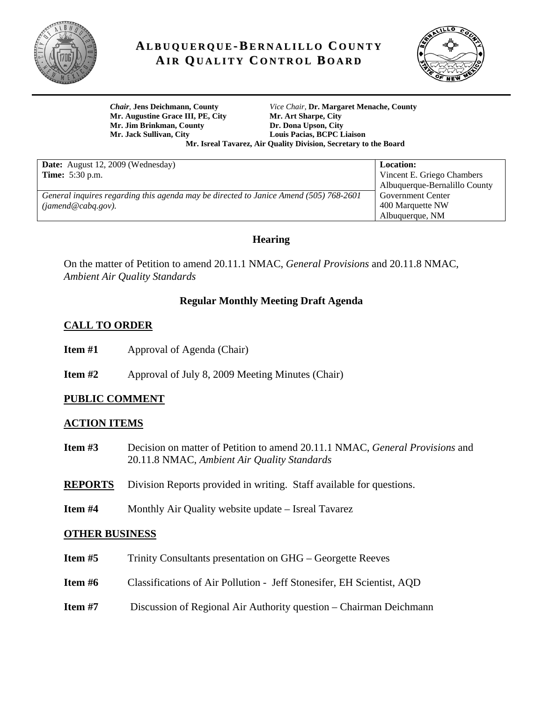

# **AL B U Q U E R Q U E-B E R N A LI L L O C O U N T Y AI R QU A LI T Y C O N T R O L B O A R D**



**Mr. Augustine Grace III, PE, City Mr. Art Sharpe, City**  Mr. Jim Brinkman, County **Dr. Dona Upson, City Mr. Jack Sullivan, City Louis Pacias, BCPC Liaison** 

*Chair*, **Jens Deichmann, County** *Vice Chair,* **Dr. Margaret Menache, County Mr. Isreal Tavarez, Air Quality Division, Secretary to the Board** 

**Location:** 

Vincent E. Griego Chambers Albuquerque-Bernalillo County

Government Center 400 Marquette NW Albuquerque, NM

**Date:** August 12, 2009 (Wednesday) **Time:** 5:30 p.m.

*General inquires regarding this agenda may be directed to Janice Amend (505) 768-2601 (jamend@cabq.gov).*

## **Hearing**

On the matter of Petition to amend 20.11.1 NMAC, *General Provisions* and 20.11.8 NMAC, *Ambient Air Quality Standards*

# **Regular Monthly Meeting Draft Agenda**

# **CALL TO ORDER**

- **Item #1 Approval of Agenda (Chair)**
- **Item #2** Approval of July 8, 2009 Meeting Minutes (Chair)

# **PUBLIC COMMENT**

## **ACTION ITEMS**

- **Item #3** Decision on matter of Petition to amend 20.11.1 NMAC, *General Provisions* and 20.11.8 NMAC, *Ambient Air Quality Standards*
- **REPORTS** Division Reports provided in writing. Staff available for questions.
- **Item #4** Monthly Air Quality website update Isreal Tavarez

#### **OTHER BUSINESS**

| Item $#5$ | Trinity Consultants presentation on GHG – Georgette Reeves            |
|-----------|-----------------------------------------------------------------------|
| Item $#6$ | Classifications of Air Pollution - Jeff Stonesifer, EH Scientist, AQD |
| Item $#7$ | Discussion of Regional Air Authority question – Chairman Deichmann    |